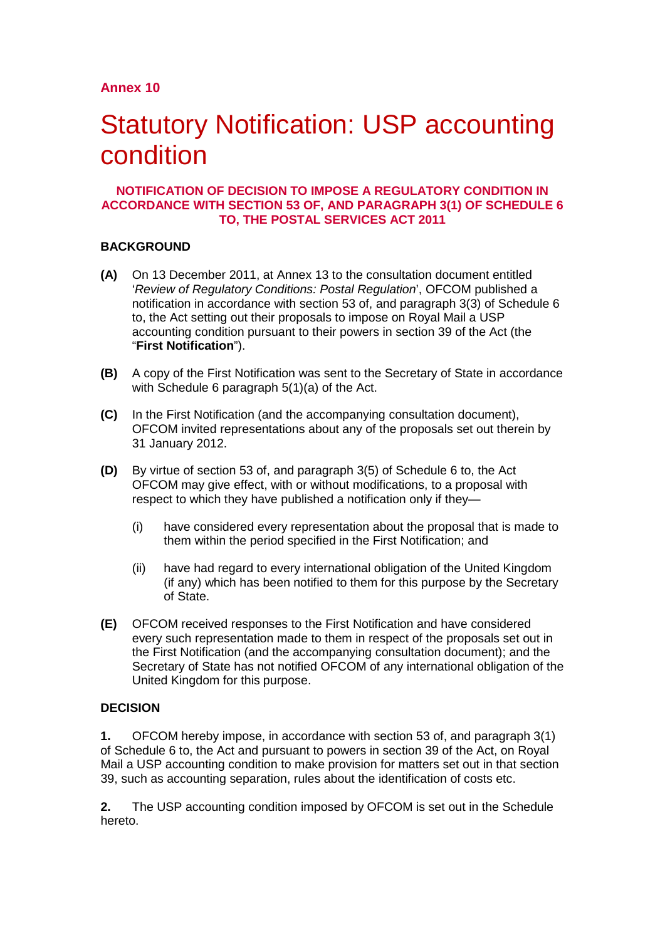# Statutory Notification: USP accounting condition

#### **NOTIFICATION OF DECISION TO IMPOSE A REGULATORY CONDITION IN ACCORDANCE WITH SECTION 53 OF, AND PARAGRAPH 3(1) OF SCHEDULE 6 TO, THE POSTAL SERVICES ACT 2011**

### **BACKGROUND**

- **(A)** On 13 December 2011, at Annex 13 to the consultation document entitled '*Review of Regulatory Conditions: Postal Regulation*', OFCOM published a notification in accordance with section 53 of, and paragraph 3(3) of Schedule 6 to, the Act setting out their proposals to impose on Royal Mail a USP accounting condition pursuant to their powers in section 39 of the Act (the "**First Notification**").
- **(B)** A copy of the First Notification was sent to the Secretary of State in accordance with Schedule 6 paragraph 5(1)(a) of the Act.
- **(C)** In the First Notification (and the accompanying consultation document), OFCOM invited representations about any of the proposals set out therein by 31 January 2012.
- **(D)** By virtue of section 53 of, and paragraph 3(5) of Schedule 6 to, the Act OFCOM may give effect, with or without modifications, to a proposal with respect to which they have published a notification only if they—
	- (i) have considered every representation about the proposal that is made to them within the period specified in the First Notification; and
	- (ii) have had regard to every international obligation of the United Kingdom (if any) which has been notified to them for this purpose by the Secretary of State.
- **(E)** OFCOM received responses to the First Notification and have considered every such representation made to them in respect of the proposals set out in the First Notification (and the accompanying consultation document); and the Secretary of State has not notified OFCOM of any international obligation of the United Kingdom for this purpose.

## **DECISION**

**1.** OFCOM hereby impose, in accordance with section 53 of, and paragraph 3(1) of Schedule 6 to, the Act and pursuant to powers in section 39 of the Act, on Royal Mail a USP accounting condition to make provision for matters set out in that section 39, such as accounting separation, rules about the identification of costs etc.

**2.** The USP accounting condition imposed by OFCOM is set out in the Schedule hereto.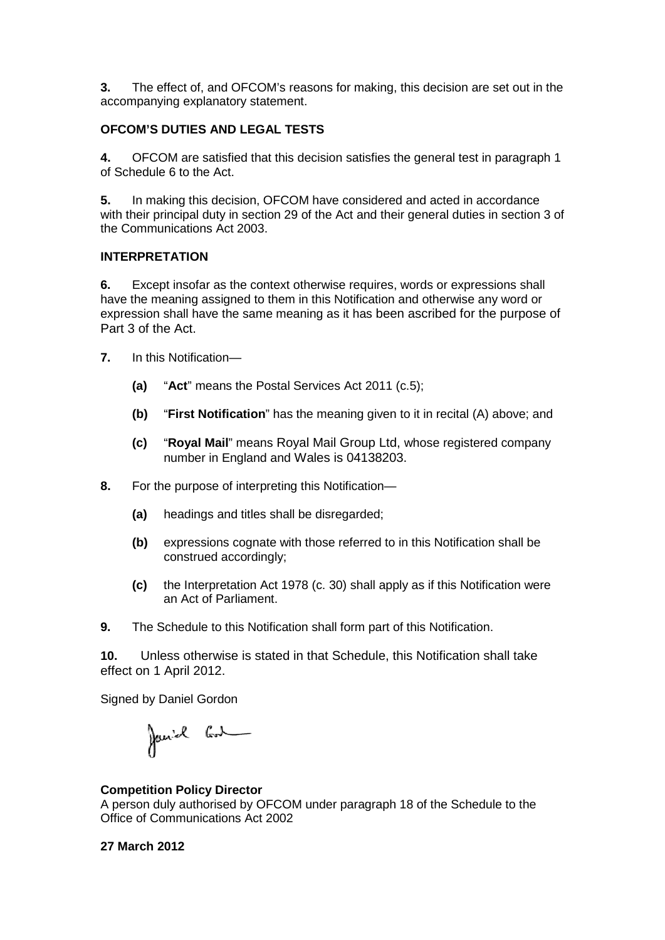**3.** The effect of, and OFCOM's reasons for making, this decision are set out in the accompanying explanatory statement.

### **OFCOM'S DUTIES AND LEGAL TESTS**

**4.** OFCOM are satisfied that this decision satisfies the general test in paragraph 1 of Schedule 6 to the Act.

**5.** In making this decision, OFCOM have considered and acted in accordance with their principal duty in section 29 of the Act and their general duties in section 3 of the Communications Act 2003.

#### **INTERPRETATION**

**6.** Except insofar as the context otherwise requires, words or expressions shall have the meaning assigned to them in this Notification and otherwise any word or expression shall have the same meaning as it has been ascribed for the purpose of Part 3 of the Act.

- **7.** In this Notification—
	- **(a)** "**Act**" means the Postal Services Act 2011 (c.5);
	- **(b)** "**First Notification**" has the meaning given to it in recital (A) above; and
	- **(c)** "**Royal Mail**" means Royal Mail Group Ltd, whose registered company number in England and Wales is 04138203.
- **8.** For the purpose of interpreting this Notification—
	- **(a)** headings and titles shall be disregarded;
	- **(b)** expressions cognate with those referred to in this Notification shall be construed accordingly;
	- **(c)** the Interpretation Act 1978 (c. 30) shall apply as if this Notification were an Act of Parliament.
- **9.** The Schedule to this Notification shall form part of this Notification.

**10.** Unless otherwise is stated in that Schedule, this Notification shall take effect on 1 April 2012.

Signed by Daniel Gordon

Janiel Cod

#### **Competition Policy Director**

A person duly authorised by OFCOM under paragraph 18 of the Schedule to the Office of Communications Act 2002

#### **27 March 2012**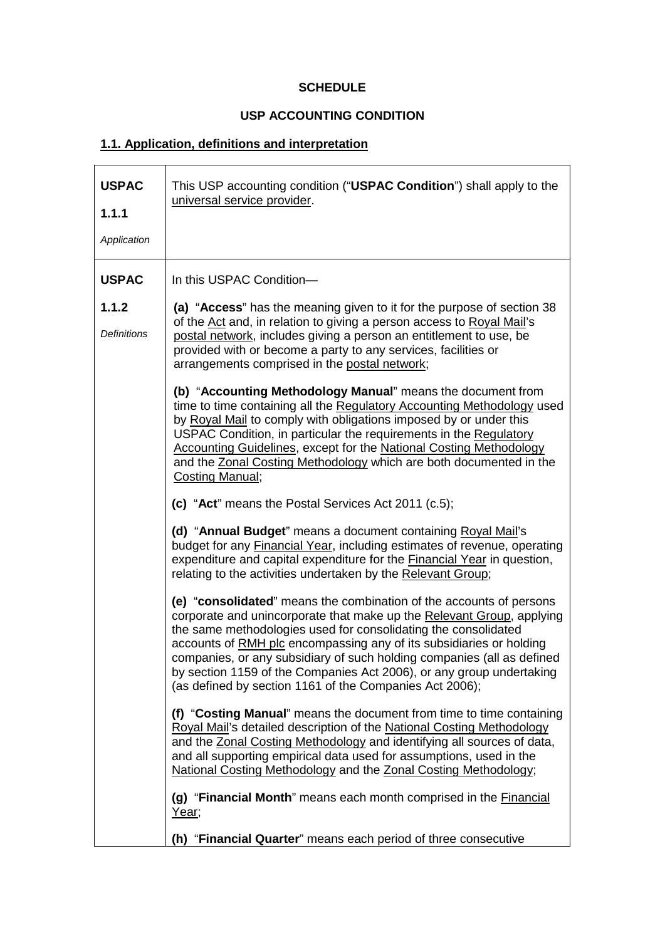## **SCHEDULE**

## **USP ACCOUNTING CONDITION**

# **1.1. Application, definitions and interpretation**

| <b>USPAC</b><br>1.1.1<br>Application | This USP accounting condition ("USPAC Condition") shall apply to the<br>universal service provider.                                                                                                                                                                                                                                                                                                                                                                                                |
|--------------------------------------|----------------------------------------------------------------------------------------------------------------------------------------------------------------------------------------------------------------------------------------------------------------------------------------------------------------------------------------------------------------------------------------------------------------------------------------------------------------------------------------------------|
| <b>USPAC</b>                         | In this USPAC Condition-                                                                                                                                                                                                                                                                                                                                                                                                                                                                           |
| 1.1.2<br><b>Definitions</b>          | (a) "Access" has the meaning given to it for the purpose of section 38<br>of the Act and, in relation to giving a person access to Royal Mail's<br>postal network, includes giving a person an entitlement to use, be<br>provided with or become a party to any services, facilities or<br>arrangements comprised in the postal network;                                                                                                                                                           |
|                                      | (b) "Accounting Methodology Manual" means the document from<br>time to time containing all the Regulatory Accounting Methodology used<br>by Royal Mail to comply with obligations imposed by or under this<br>USPAC Condition, in particular the requirements in the Regulatory<br>Accounting Guidelines, except for the National Costing Methodology<br>and the Zonal Costing Methodology which are both documented in the<br><b>Costing Manual;</b>                                              |
|                                      | (c) "Act" means the Postal Services Act 2011 (c.5);                                                                                                                                                                                                                                                                                                                                                                                                                                                |
|                                      | (d) "Annual Budget" means a document containing Royal Mail's<br>budget for any <b>Financial Year</b> , including estimates of revenue, operating<br>expenditure and capital expenditure for the Financial Year in question,<br>relating to the activities undertaken by the Relevant Group;                                                                                                                                                                                                        |
|                                      | (e) "consolidated" means the combination of the accounts of persons<br>corporate and unincorporate that make up the Relevant Group, applying<br>the same methodologies used for consolidating the consolidated<br>accounts of RMH plc encompassing any of its subsidiaries or holding<br>companies, or any subsidiary of such holding companies (all as defined<br>by section 1159 of the Companies Act 2006), or any group undertaking<br>(as defined by section 1161 of the Companies Act 2006); |
|                                      | (f) "Costing Manual" means the document from time to time containing<br>Royal Mail's detailed description of the National Costing Methodology<br>and the Zonal Costing Methodology and identifying all sources of data,<br>and all supporting empirical data used for assumptions, used in the<br>National Costing Methodology and the Zonal Costing Methodology;                                                                                                                                  |
|                                      | (g) "Financial Month" means each month comprised in the <b>Financial</b><br>Year;                                                                                                                                                                                                                                                                                                                                                                                                                  |
|                                      | (h) "Financial Quarter" means each period of three consecutive                                                                                                                                                                                                                                                                                                                                                                                                                                     |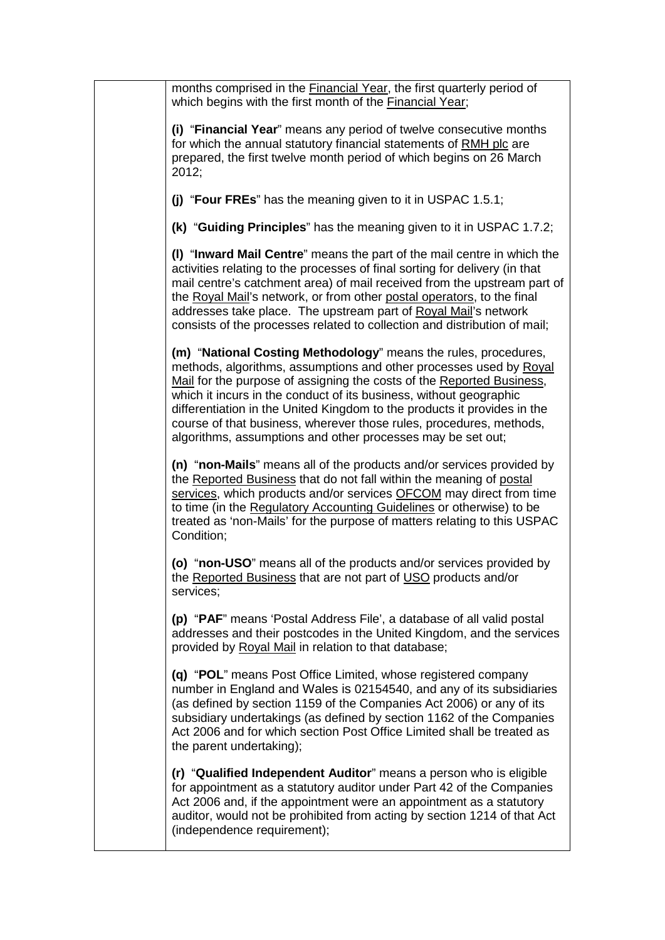| months comprised in the <b>Financial Year</b> , the first quarterly period of<br>which begins with the first month of the Financial Year;<br>(i) "Financial Year" means any period of twelve consecutive months<br>for which the annual statutory financial statements of RMH plc are                                                                                                                                                                                                                  |  |
|--------------------------------------------------------------------------------------------------------------------------------------------------------------------------------------------------------------------------------------------------------------------------------------------------------------------------------------------------------------------------------------------------------------------------------------------------------------------------------------------------------|--|
|                                                                                                                                                                                                                                                                                                                                                                                                                                                                                                        |  |
| prepared, the first twelve month period of which begins on 26 March<br>2012;                                                                                                                                                                                                                                                                                                                                                                                                                           |  |
| (j) "Four FREs" has the meaning given to it in USPAC 1.5.1;                                                                                                                                                                                                                                                                                                                                                                                                                                            |  |
| (k) "Guiding Principles" has the meaning given to it in USPAC 1.7.2;                                                                                                                                                                                                                                                                                                                                                                                                                                   |  |
| (I) "Inward Mail Centre" means the part of the mail centre in which the<br>activities relating to the processes of final sorting for delivery (in that<br>mail centre's catchment area) of mail received from the upstream part of<br>the Royal Mail's network, or from other postal operators, to the final<br>addresses take place. The upstream part of Royal Mail's network<br>consists of the processes related to collection and distribution of mail;                                           |  |
| (m) "National Costing Methodology" means the rules, procedures,<br>methods, algorithms, assumptions and other processes used by Royal<br>Mail for the purpose of assigning the costs of the Reported Business,<br>which it incurs in the conduct of its business, without geographic<br>differentiation in the United Kingdom to the products it provides in the<br>course of that business, wherever those rules, procedures, methods,<br>algorithms, assumptions and other processes may be set out; |  |
| (n) "non-Mails" means all of the products and/or services provided by<br>the Reported Business that do not fall within the meaning of postal<br>services, which products and/or services OFCOM may direct from time<br>to time (in the Regulatory Accounting Guidelines or otherwise) to be<br>treated as 'non-Mails' for the purpose of matters relating to this USPAC<br>Condition;                                                                                                                  |  |
| (o) "non-USO" means all of the products and/or services provided by<br>the Reported Business that are not part of USO products and/or<br>services;                                                                                                                                                                                                                                                                                                                                                     |  |
| (p) "PAF" means 'Postal Address File', a database of all valid postal<br>addresses and their postcodes in the United Kingdom, and the services<br>provided by Royal Mail in relation to that database;                                                                                                                                                                                                                                                                                                 |  |
| (q) "POL" means Post Office Limited, whose registered company<br>number in England and Wales is 02154540, and any of its subsidiaries<br>(as defined by section 1159 of the Companies Act 2006) or any of its<br>subsidiary undertakings (as defined by section 1162 of the Companies<br>Act 2006 and for which section Post Office Limited shall be treated as<br>the parent undertaking);                                                                                                            |  |
| (r) "Qualified Independent Auditor" means a person who is eligible<br>for appointment as a statutory auditor under Part 42 of the Companies<br>Act 2006 and, if the appointment were an appointment as a statutory<br>auditor, would not be prohibited from acting by section 1214 of that Act<br>(independence requirement);                                                                                                                                                                          |  |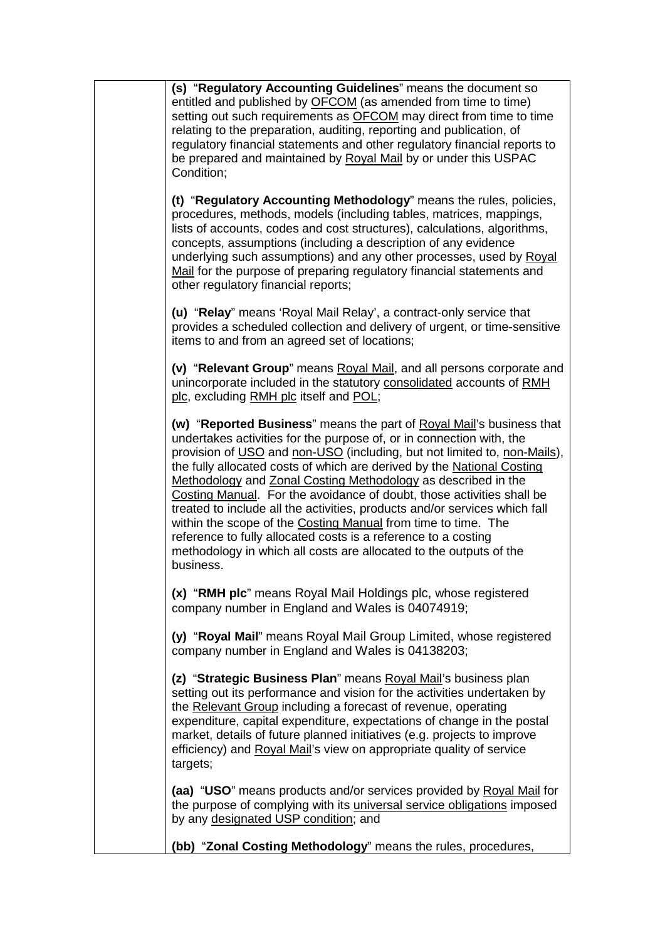**(s)** "**Regulatory Accounting Guidelines**" means the document so entitled and published by OFCOM (as amended from time to time) setting out such requirements as OFCOM may direct from time to time relating to the preparation, auditing, reporting and publication, of regulatory financial statements and other regulatory financial reports to be prepared and maintained by Royal Mail by or under this USPAC Condition;

**(t)** "**Regulatory Accounting Methodology**" means the rules, policies, procedures, methods, models (including tables, matrices, mappings, lists of accounts, codes and cost structures), calculations, algorithms, concepts, assumptions (including a description of any evidence underlying such assumptions) and any other processes, used by Royal Mail for the purpose of preparing regulatory financial statements and other regulatory financial reports;

**(u)** "**Relay**" means 'Royal Mail Relay', a contract-only service that provides a scheduled collection and delivery of urgent, or time-sensitive items to and from an agreed set of locations;

**(v)** "**Relevant Group**" means Royal Mail, and all persons corporate and unincorporate included in the statutory consolidated accounts of RMH plc, excluding RMH plc itself and POL;

**(w)** "**Reported Business**" means the part of Royal Mail's business that undertakes activities for the purpose of, or in connection with, the provision of USO and non-USO (including, but not limited to, non-Mails), the fully allocated costs of which are derived by the National Costing Methodology and Zonal Costing Methodology as described in the Costing Manual. For the avoidance of doubt, those activities shall be treated to include all the activities, products and/or services which fall within the scope of the Costing Manual from time to time. The reference to fully allocated costs is a reference to a costing methodology in which all costs are allocated to the outputs of the business.

**(x)** "**RMH plc**" means Royal Mail Holdings plc, whose registered company number in England and Wales is 04074919;

**(y)** "**Royal Mail**" means Royal Mail Group Limited, whose registered company number in England and Wales is 04138203;

**(z)** "**Strategic Business Plan**" means Royal Mail's business plan setting out its performance and vision for the activities undertaken by the Relevant Group including a forecast of revenue, operating expenditure, capital expenditure, expectations of change in the postal market, details of future planned initiatives (e.g. projects to improve efficiency) and Royal Mail's view on appropriate quality of service targets;

**(aa)** "**USO**" means products and/or services provided by Royal Mail for the purpose of complying with its universal service obligations imposed by any designated USP condition; and

**(bb)** "**Zonal Costing Methodology**" means the rules, procedures,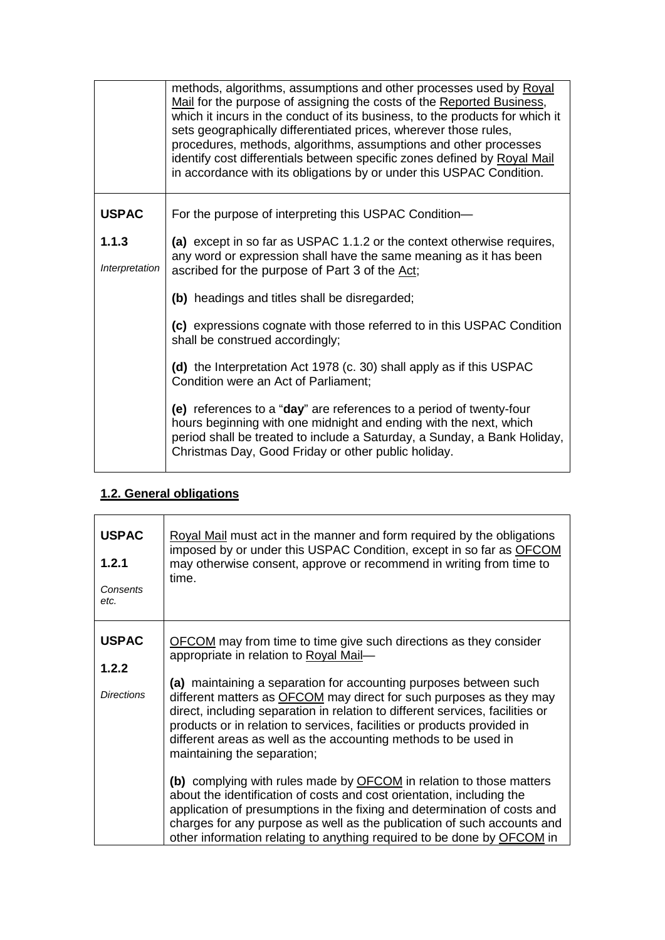|                         | methods, algorithms, assumptions and other processes used by Royal<br>Mail for the purpose of assigning the costs of the Reported Business,<br>which it incurs in the conduct of its business, to the products for which it<br>sets geographically differentiated prices, wherever those rules,<br>procedures, methods, algorithms, assumptions and other processes<br>identify cost differentials between specific zones defined by Royal Mail<br>in accordance with its obligations by or under this USPAC Condition. |
|-------------------------|-------------------------------------------------------------------------------------------------------------------------------------------------------------------------------------------------------------------------------------------------------------------------------------------------------------------------------------------------------------------------------------------------------------------------------------------------------------------------------------------------------------------------|
| <b>USPAC</b>            | For the purpose of interpreting this USPAC Condition-                                                                                                                                                                                                                                                                                                                                                                                                                                                                   |
| 1.1.3<br>Interpretation | (a) except in so far as USPAC 1.1.2 or the context otherwise requires,<br>any word or expression shall have the same meaning as it has been<br>ascribed for the purpose of Part 3 of the Act;                                                                                                                                                                                                                                                                                                                           |
|                         | (b) headings and titles shall be disregarded;                                                                                                                                                                                                                                                                                                                                                                                                                                                                           |
|                         | (c) expressions cognate with those referred to in this USPAC Condition<br>shall be construed accordingly;                                                                                                                                                                                                                                                                                                                                                                                                               |
|                         | (d) the Interpretation Act 1978 (c. 30) shall apply as if this USPAC<br>Condition were an Act of Parliament;                                                                                                                                                                                                                                                                                                                                                                                                            |
|                         | (e) references to a "day" are references to a period of twenty-four<br>hours beginning with one midnight and ending with the next, which<br>period shall be treated to include a Saturday, a Sunday, a Bank Holiday,<br>Christmas Day, Good Friday or other public holiday.                                                                                                                                                                                                                                             |

## **1.2. General obligations**

| <b>USPAC</b>                               | Royal Mail must act in the manner and form required by the obligations                                                                                                                                                                                                                                                                                                                                                                                                                                                                                                                                                                                                                                                                                                                                                                                                                                        |
|--------------------------------------------|---------------------------------------------------------------------------------------------------------------------------------------------------------------------------------------------------------------------------------------------------------------------------------------------------------------------------------------------------------------------------------------------------------------------------------------------------------------------------------------------------------------------------------------------------------------------------------------------------------------------------------------------------------------------------------------------------------------------------------------------------------------------------------------------------------------------------------------------------------------------------------------------------------------|
| 1.2.1                                      | imposed by or under this USPAC Condition, except in so far as OFCOM                                                                                                                                                                                                                                                                                                                                                                                                                                                                                                                                                                                                                                                                                                                                                                                                                                           |
| Consents                                   | may otherwise consent, approve or recommend in writing from time to                                                                                                                                                                                                                                                                                                                                                                                                                                                                                                                                                                                                                                                                                                                                                                                                                                           |
| etc.                                       | time.                                                                                                                                                                                                                                                                                                                                                                                                                                                                                                                                                                                                                                                                                                                                                                                                                                                                                                         |
| <b>USPAC</b><br>1.2.2<br><b>Directions</b> | <b>OFCOM</b> may from time to time give such directions as they consider<br>appropriate in relation to Royal Mail-<br>(a) maintaining a separation for accounting purposes between such<br>different matters as OFCOM may direct for such purposes as they may<br>direct, including separation in relation to different services, facilities or<br>products or in relation to services, facilities or products provided in<br>different areas as well as the accounting methods to be used in<br>maintaining the separation;<br>(b) complying with rules made by OFCOM in relation to those matters<br>about the identification of costs and cost orientation, including the<br>application of presumptions in the fixing and determination of costs and<br>charges for any purpose as well as the publication of such accounts and<br>other information relating to anything required to be done by OFCOM in |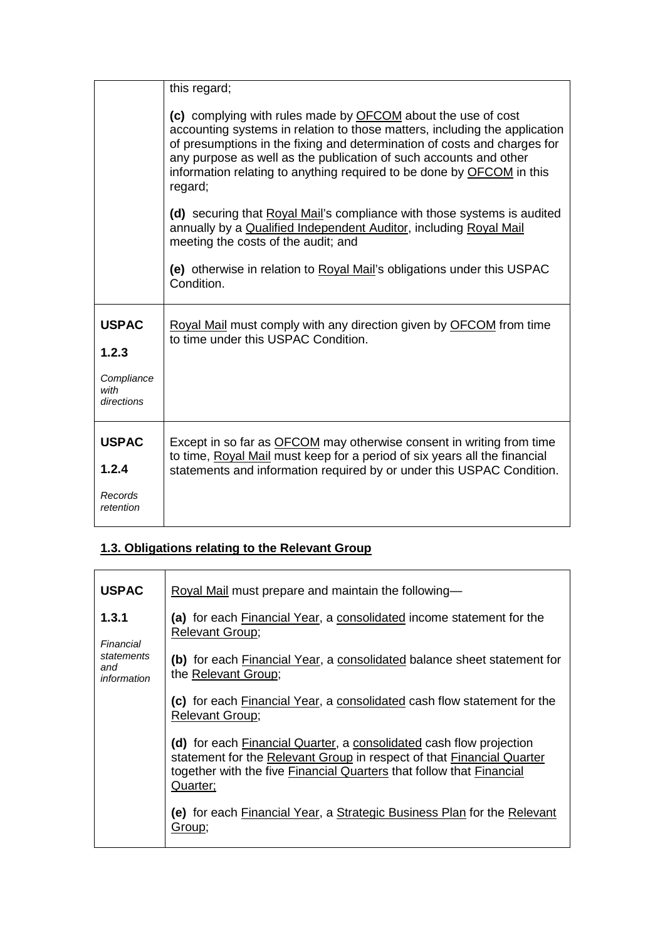|                                  | this regard;                                                                                                                                                                                                                                                                                                                                                                    |
|----------------------------------|---------------------------------------------------------------------------------------------------------------------------------------------------------------------------------------------------------------------------------------------------------------------------------------------------------------------------------------------------------------------------------|
|                                  | (c) complying with rules made by OFCOM about the use of cost<br>accounting systems in relation to those matters, including the application<br>of presumptions in the fixing and determination of costs and charges for<br>any purpose as well as the publication of such accounts and other<br>information relating to anything required to be done by OFCOM in this<br>regard; |
|                                  | (d) securing that Royal Mail's compliance with those systems is audited<br>annually by a Qualified Independent Auditor, including Royal Mail<br>meeting the costs of the audit; and                                                                                                                                                                                             |
|                                  | (e) otherwise in relation to Royal Mail's obligations under this USPAC<br>Condition.                                                                                                                                                                                                                                                                                            |
| <b>USPAC</b><br>1.2.3            | Royal Mail must comply with any direction given by OFCOM from time<br>to time under this USPAC Condition.                                                                                                                                                                                                                                                                       |
|                                  |                                                                                                                                                                                                                                                                                                                                                                                 |
| Compliance<br>with<br>directions |                                                                                                                                                                                                                                                                                                                                                                                 |
| <b>USPAC</b>                     | Except in so far as <b>OFCOM</b> may otherwise consent in writing from time<br>to time, Royal Mail must keep for a period of six years all the financial                                                                                                                                                                                                                        |
| 1.2.4                            | statements and information required by or under this USPAC Condition.                                                                                                                                                                                                                                                                                                           |
| Records<br>retention             |                                                                                                                                                                                                                                                                                                                                                                                 |

## **1.3. Obligations relating to the Relevant Group**

| <b>USPAC</b>                     | Royal Mail must prepare and maintain the following-                                                                                                                                                                              |
|----------------------------------|----------------------------------------------------------------------------------------------------------------------------------------------------------------------------------------------------------------------------------|
| 1.3.1<br>Financial               | (a) for each <b>Financial Year</b> , a consolidated income statement for the<br><b>Relevant Group;</b>                                                                                                                           |
| statements<br>and<br>information | (b) for each <b>Financial Year, a consolidated balance sheet statement for</b><br>the Relevant Group;                                                                                                                            |
|                                  | (c) for each Financial Year, a consolidated cash flow statement for the<br><b>Relevant Group;</b>                                                                                                                                |
|                                  | (d) for each Financial Quarter, a consolidated cash flow projection<br>statement for the Relevant Group in respect of that Financial Quarter<br>together with the five Financial Quarters that follow that Financial<br>Quarter; |
|                                  | (e) for each Financial Year, a Strategic Business Plan for the Relevant<br>Group:                                                                                                                                                |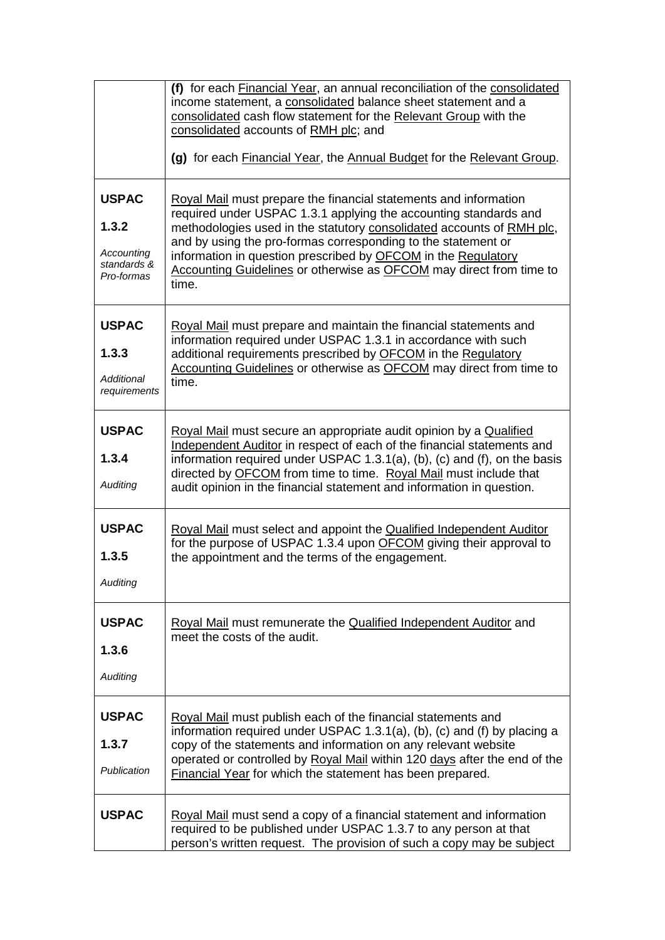|                                                                  | (f) for each Financial Year, an annual reconciliation of the consolidated<br>income statement, a consolidated balance sheet statement and a<br>consolidated cash flow statement for the Relevant Group with the<br>consolidated accounts of RMH plc; and                                                                                                                                                                        |
|------------------------------------------------------------------|---------------------------------------------------------------------------------------------------------------------------------------------------------------------------------------------------------------------------------------------------------------------------------------------------------------------------------------------------------------------------------------------------------------------------------|
|                                                                  | (g) for each Financial Year, the Annual Budget for the Relevant Group.                                                                                                                                                                                                                                                                                                                                                          |
| <b>USPAC</b><br>1.3.2<br>Accounting<br>standards &<br>Pro-formas | Royal Mail must prepare the financial statements and information<br>required under USPAC 1.3.1 applying the accounting standards and<br>methodologies used in the statutory consolidated accounts of RMH plc,<br>and by using the pro-formas corresponding to the statement or<br>information in question prescribed by OFCOM in the Regulatory<br>Accounting Guidelines or otherwise as OFCOM may direct from time to<br>time. |
| <b>USPAC</b><br>1.3.3<br>Additional<br>requirements              | Royal Mail must prepare and maintain the financial statements and<br>information required under USPAC 1.3.1 in accordance with such<br>additional requirements prescribed by OFCOM in the Regulatory<br>Accounting Guidelines or otherwise as OFCOM may direct from time to<br>time.                                                                                                                                            |
| <b>USPAC</b><br>1.3.4<br>Auditing                                | Royal Mail must secure an appropriate audit opinion by a Qualified<br>Independent Auditor in respect of each of the financial statements and<br>information required under USPAC 1.3.1(a), (b), (c) and (f), on the basis<br>directed by <b>OFCOM</b> from time to time. Royal Mail must include that<br>audit opinion in the financial statement and information in question.                                                  |
| <b>USPAC</b><br>1.3.5<br>Auditing                                | Royal Mail must select and appoint the Qualified Independent Auditor<br>for the purpose of USPAC 1.3.4 upon OFCOM giving their approval to<br>the appointment and the terms of the engagement.                                                                                                                                                                                                                                  |
| <b>USPAC</b><br>1.3.6<br>Auditing                                | Royal Mail must remunerate the Qualified Independent Auditor and<br>meet the costs of the audit.                                                                                                                                                                                                                                                                                                                                |
| <b>USPAC</b><br>1.3.7<br>Publication                             | Royal Mail must publish each of the financial statements and<br>information required under USPAC 1.3.1(a), (b), (c) and (f) by placing a<br>copy of the statements and information on any relevant website<br>operated or controlled by Royal Mail within 120 days after the end of the<br>Financial Year for which the statement has been prepared.                                                                            |
| <b>USPAC</b>                                                     | Royal Mail must send a copy of a financial statement and information<br>required to be published under USPAC 1.3.7 to any person at that<br>person's written request. The provision of such a copy may be subject                                                                                                                                                                                                               |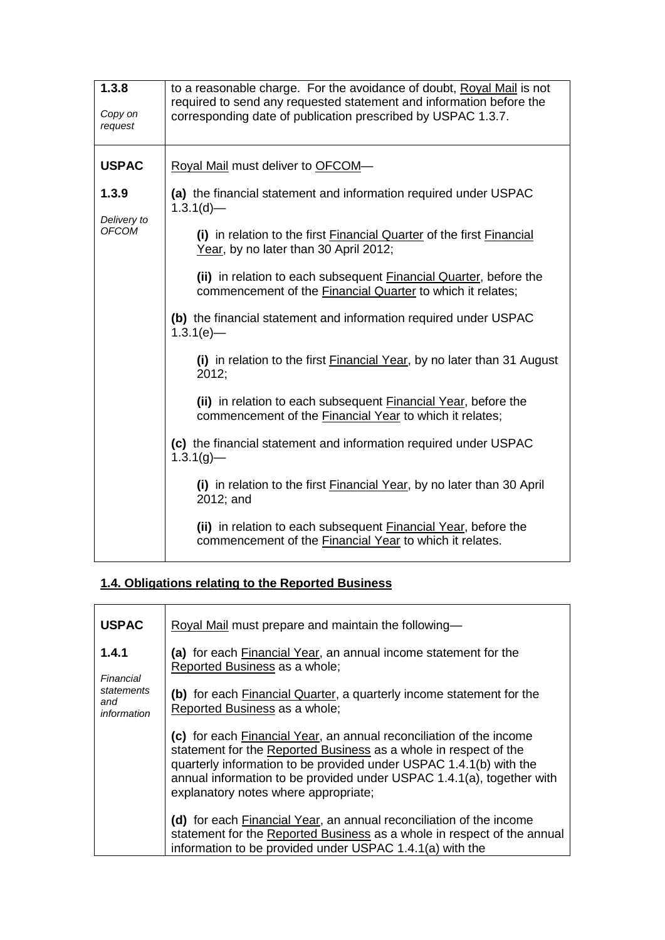| 1.3.8<br>Copy on<br>request          | to a reasonable charge. For the avoidance of doubt, Royal Mail is not<br>required to send any requested statement and information before the<br>corresponding date of publication prescribed by USPAC 1.3.7. |
|--------------------------------------|--------------------------------------------------------------------------------------------------------------------------------------------------------------------------------------------------------------|
| <b>USPAC</b>                         | Royal Mail must deliver to OFCOM-                                                                                                                                                                            |
| 1.3.9<br>Delivery to<br><b>OFCOM</b> | (a) the financial statement and information required under USPAC<br>$1.3.1(d)$ —                                                                                                                             |
|                                      | (i) in relation to the first Financial Quarter of the first Financial<br>Year, by no later than 30 April 2012;                                                                                               |
|                                      | (ii) in relation to each subsequent <b>Financial Quarter</b> , before the<br>commencement of the <b>Financial Quarter</b> to which it relates;                                                               |
|                                      | (b) the financial statement and information required under USPAC<br>$1.3.1(e)$ -                                                                                                                             |
|                                      | (i) in relation to the first Financial Year, by no later than 31 August<br>2012;                                                                                                                             |
|                                      | (ii) in relation to each subsequent <b>Financial Year</b> , before the<br>commencement of the Financial Year to which it relates;                                                                            |
|                                      | (c) the financial statement and information required under USPAC<br>$1.3.1(g)$ —                                                                                                                             |
|                                      | (i) in relation to the first <b>Financial Year</b> , by no later than 30 April<br>2012; and                                                                                                                  |
|                                      | (ii) in relation to each subsequent Financial Year, before the<br>commencement of the <b>Financial Year</b> to which it relates.                                                                             |

# **1.4. Obligations relating to the Reported Business**

| <b>USPAC</b>                     | Royal Mail must prepare and maintain the following-                                                                                                                                                                                                                                                                            |
|----------------------------------|--------------------------------------------------------------------------------------------------------------------------------------------------------------------------------------------------------------------------------------------------------------------------------------------------------------------------------|
| 1.4.1<br>Financial               | (a) for each <b>Financial Year</b> , an annual income statement for the<br>Reported Business as a whole;                                                                                                                                                                                                                       |
| statements<br>and<br>information | (b) for each <b>Financial Quarter</b> , a quarterly income statement for the<br>Reported Business as a whole;                                                                                                                                                                                                                  |
|                                  | (c) for each Financial Year, an annual reconciliation of the income<br>statement for the Reported Business as a whole in respect of the<br>quarterly information to be provided under USPAC 1.4.1(b) with the<br>annual information to be provided under USPAC 1.4.1(a), together with<br>explanatory notes where appropriate; |
|                                  | (d) for each Financial Year, an annual reconciliation of the income<br>statement for the Reported Business as a whole in respect of the annual<br>information to be provided under USPAC 1.4.1(a) with the                                                                                                                     |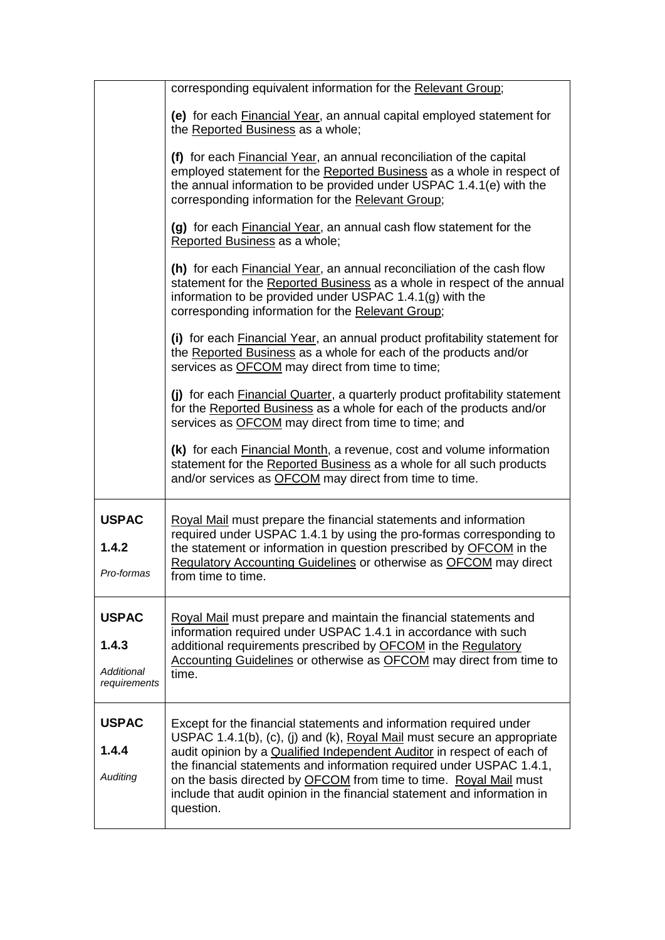|                                                            | corresponding equivalent information for the Relevant Group;                                                                                                                                                                                                                                                                                                                                                                                                  |
|------------------------------------------------------------|---------------------------------------------------------------------------------------------------------------------------------------------------------------------------------------------------------------------------------------------------------------------------------------------------------------------------------------------------------------------------------------------------------------------------------------------------------------|
|                                                            | (e) for each <b>Financial Year</b> , an annual capital employed statement for<br>the Reported Business as a whole;                                                                                                                                                                                                                                                                                                                                            |
|                                                            | (f) for each Financial Year, an annual reconciliation of the capital<br>employed statement for the Reported Business as a whole in respect of<br>the annual information to be provided under USPAC 1.4.1(e) with the<br>corresponding information for the Relevant Group;                                                                                                                                                                                     |
|                                                            | (g) for each <b>Financial Year</b> , an annual cash flow statement for the<br>Reported Business as a whole;                                                                                                                                                                                                                                                                                                                                                   |
|                                                            | (h) for each Financial Year, an annual reconciliation of the cash flow<br>statement for the Reported Business as a whole in respect of the annual<br>information to be provided under USPAC 1.4.1(g) with the<br>corresponding information for the Relevant Group;                                                                                                                                                                                            |
|                                                            | (i) for each <b>Financial Year</b> , an annual product profitability statement for<br>the Reported Business as a whole for each of the products and/or<br>services as OFCOM may direct from time to time;                                                                                                                                                                                                                                                     |
|                                                            | (j) for each <b>Financial Quarter</b> , a quarterly product profitability statement<br>for the Reported Business as a whole for each of the products and/or<br>services as <b>OFCOM</b> may direct from time to time; and                                                                                                                                                                                                                                     |
|                                                            | (k) for each <b>Financial Month</b> , a revenue, cost and volume information<br>statement for the Reported Business as a whole for all such products<br>and/or services as OFCOM may direct from time to time.                                                                                                                                                                                                                                                |
| <b>USPAC</b><br>1.4.2<br>Pro-formas                        | Royal Mail must prepare the financial statements and information<br>required under USPAC 1.4.1 by using the pro-formas corresponding to<br>the statement or information in question prescribed by <b>OFCOM</b> in the<br>Regulatory Accounting Guidelines or otherwise as OFCOM may direct<br>from time to time                                                                                                                                               |
| <b>USPAC</b><br>1.4.3<br><b>Additional</b><br>requirements | Royal Mail must prepare and maintain the financial statements and<br>information required under USPAC 1.4.1 in accordance with such<br>additional requirements prescribed by OFCOM in the Regulatory<br>Accounting Guidelines or otherwise as OFCOM may direct from time to<br>time.                                                                                                                                                                          |
| <b>USPAC</b><br>1.4.4<br>Auditing                          | Except for the financial statements and information required under<br>USPAC 1.4.1(b), (c), (j) and (k), Royal Mail must secure an appropriate<br>audit opinion by a Qualified Independent Auditor in respect of each of<br>the financial statements and information required under USPAC 1.4.1,<br>on the basis directed by OFCOM from time to time. Royal Mail must<br>include that audit opinion in the financial statement and information in<br>question. |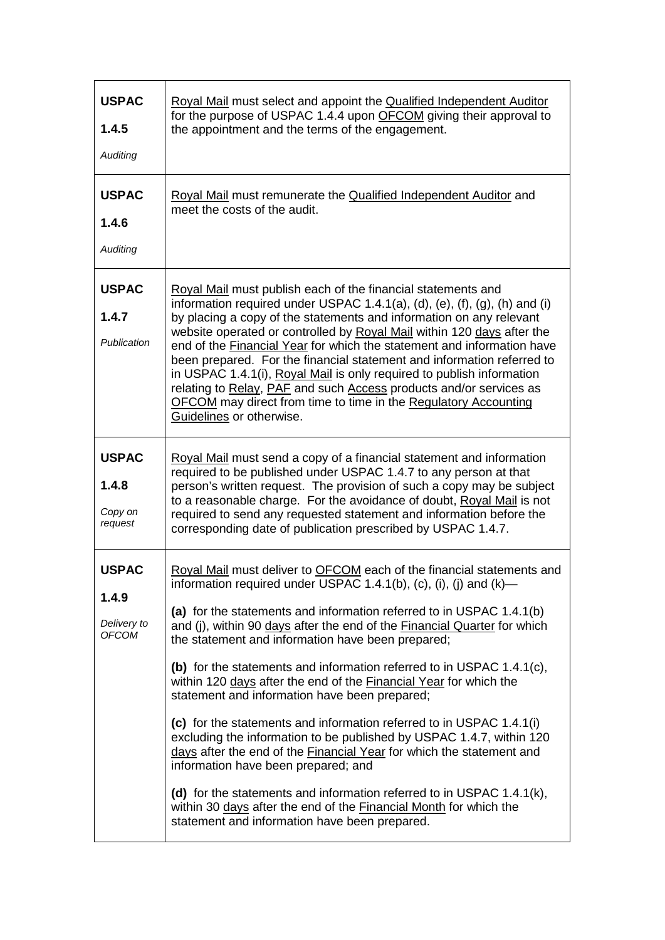| <b>USPAC</b><br>1.4.5<br>Auditing                    | Royal Mail must select and appoint the Qualified Independent Auditor<br>for the purpose of USPAC 1.4.4 upon OFCOM giving their approval to<br>the appointment and the terms of the engagement.                                                                                                                                                                                                                                                                                                                                                                                                                                                                                                                                                                                                                                                                                                                                                                                                                      |
|------------------------------------------------------|---------------------------------------------------------------------------------------------------------------------------------------------------------------------------------------------------------------------------------------------------------------------------------------------------------------------------------------------------------------------------------------------------------------------------------------------------------------------------------------------------------------------------------------------------------------------------------------------------------------------------------------------------------------------------------------------------------------------------------------------------------------------------------------------------------------------------------------------------------------------------------------------------------------------------------------------------------------------------------------------------------------------|
| <b>USPAC</b><br>1.4.6<br>Auditing                    | Royal Mail must remunerate the Qualified Independent Auditor and<br>meet the costs of the audit.                                                                                                                                                                                                                                                                                                                                                                                                                                                                                                                                                                                                                                                                                                                                                                                                                                                                                                                    |
| <b>USPAC</b><br>1.4.7<br>Publication                 | Royal Mail must publish each of the financial statements and<br>information required under USPAC 1.4.1(a), (d), (e), (f), (g), (h) and (i)<br>by placing a copy of the statements and information on any relevant<br>website operated or controlled by Royal Mail within 120 days after the<br>end of the Financial Year for which the statement and information have<br>been prepared. For the financial statement and information referred to<br>in USPAC 1.4.1(i), Royal Mail is only required to publish information<br>relating to Relay, PAF and such Access products and/or services as<br>OFCOM may direct from time to time in the Regulatory Accounting<br>Guidelines or otherwise.                                                                                                                                                                                                                                                                                                                       |
| <b>USPAC</b><br>1.4.8<br>Copy on<br>request          | Royal Mail must send a copy of a financial statement and information<br>required to be published under USPAC 1.4.7 to any person at that<br>person's written request. The provision of such a copy may be subject<br>to a reasonable charge. For the avoidance of doubt, Royal Mail is not<br>required to send any requested statement and information before the<br>corresponding date of publication prescribed by USPAC 1.4.7.                                                                                                                                                                                                                                                                                                                                                                                                                                                                                                                                                                                   |
| <b>USPAC</b><br>1.4.9<br>Delivery to<br><b>OFCOM</b> | Royal Mail must deliver to OFCOM each of the financial statements and<br>information required under USPAC 1.4.1(b), (c), (i), (j) and (k)-<br>(a) for the statements and information referred to in USPAC 1.4.1(b)<br>and (j), within 90 days after the end of the Financial Quarter for which<br>the statement and information have been prepared;<br>(b) for the statements and information referred to in USPAC 1.4.1(c),<br>within 120 days after the end of the Financial Year for which the<br>statement and information have been prepared;<br>(c) for the statements and information referred to in USPAC 1.4.1(i)<br>excluding the information to be published by USPAC 1.4.7, within 120<br>days after the end of the Financial Year for which the statement and<br>information have been prepared; and<br>(d) for the statements and information referred to in USPAC $1.4.1(k)$ ,<br>within 30 days after the end of the Financial Month for which the<br>statement and information have been prepared. |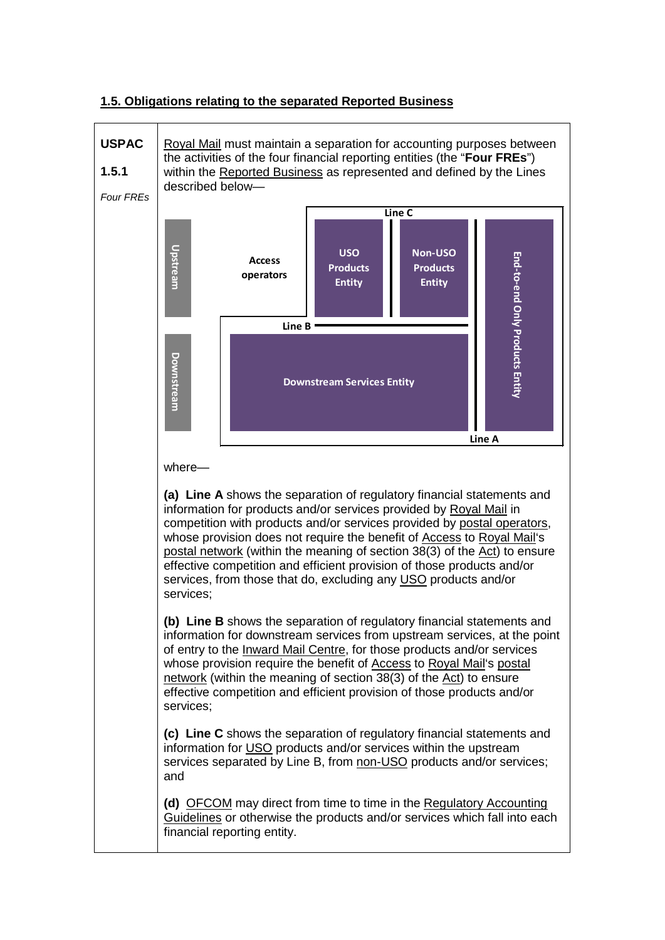

#### **1.5. Obligations relating to the separated Reported Business**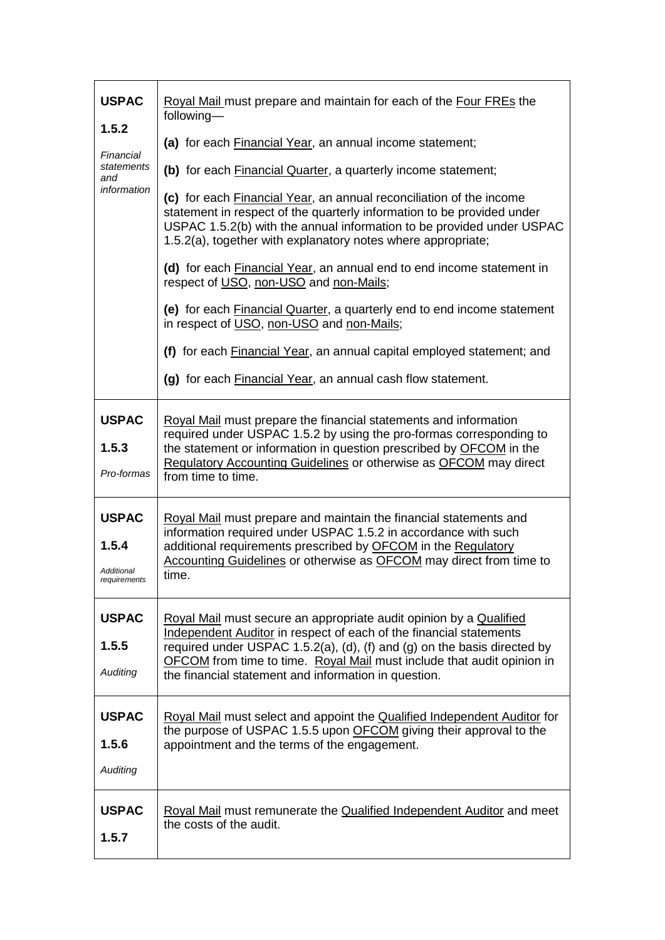| <b>USPAC</b><br>1.5.2<br>Financial<br>statements<br>and | Royal Mail must prepare and maintain for each of the Four FREs the<br>following-                                                                                                                                                                                                       |
|---------------------------------------------------------|----------------------------------------------------------------------------------------------------------------------------------------------------------------------------------------------------------------------------------------------------------------------------------------|
|                                                         | (a) for each <b>Financial Year</b> , an annual income statement;                                                                                                                                                                                                                       |
|                                                         | (b) for each <b>Financial Quarter</b> , a quarterly income statement;                                                                                                                                                                                                                  |
| information                                             | (c) for each Financial Year, an annual reconciliation of the income<br>statement in respect of the quarterly information to be provided under<br>USPAC 1.5.2(b) with the annual information to be provided under USPAC<br>1.5.2(a), together with explanatory notes where appropriate; |
|                                                         | (d) for each Financial Year, an annual end to end income statement in<br>respect of USO, non-USO and non-Mails;                                                                                                                                                                        |
|                                                         | (e) for each Financial Quarter, a quarterly end to end income statement<br>in respect of USO, non-USO and non-Mails;                                                                                                                                                                   |
|                                                         | (f) for each <b>Financial Year</b> , an annual capital employed statement; and                                                                                                                                                                                                         |
|                                                         | (g) for each Financial Year, an annual cash flow statement.                                                                                                                                                                                                                            |
| <b>USPAC</b>                                            | Royal Mail must prepare the financial statements and information                                                                                                                                                                                                                       |
| 1.5.3                                                   | required under USPAC 1.5.2 by using the pro-formas corresponding to<br>the statement or information in question prescribed by <b>OFCOM</b> in the                                                                                                                                      |
| Pro-formas                                              | <b>Regulatory Accounting Guidelines or otherwise as OFCOM may direct</b><br>from time to time.                                                                                                                                                                                         |
| <b>USPAC</b><br>1.5.4                                   | Royal Mail must prepare and maintain the financial statements and<br>information required under USPAC 1.5.2 in accordance with such<br>additional requirements prescribed by OFCOM in the Regulatory<br>Accounting Guidelines or otherwise as OFCOM may direct from time to            |
| Additional<br>reauirements                              | time.                                                                                                                                                                                                                                                                                  |
| <b>USPAC</b>                                            | Royal Mail must secure an appropriate audit opinion by a Qualified<br>Independent Auditor in respect of each of the financial statements                                                                                                                                               |
| 1.5.5                                                   | required under USPAC 1.5.2(a), (d), (f) and (g) on the basis directed by<br>OFCOM from time to time. Royal Mail must include that audit opinion in                                                                                                                                     |
| Auditing                                                | the financial statement and information in question.                                                                                                                                                                                                                                   |
| <b>USPAC</b>                                            | Royal Mail must select and appoint the Qualified Independent Auditor for                                                                                                                                                                                                               |
| 1.5.6                                                   | the purpose of USPAC 1.5.5 upon OFCOM giving their approval to the<br>appointment and the terms of the engagement.                                                                                                                                                                     |
| Auditing                                                |                                                                                                                                                                                                                                                                                        |
| <b>USPAC</b><br>1.5.7                                   | Royal Mail must remunerate the Qualified Independent Auditor and meet<br>the costs of the audit.                                                                                                                                                                                       |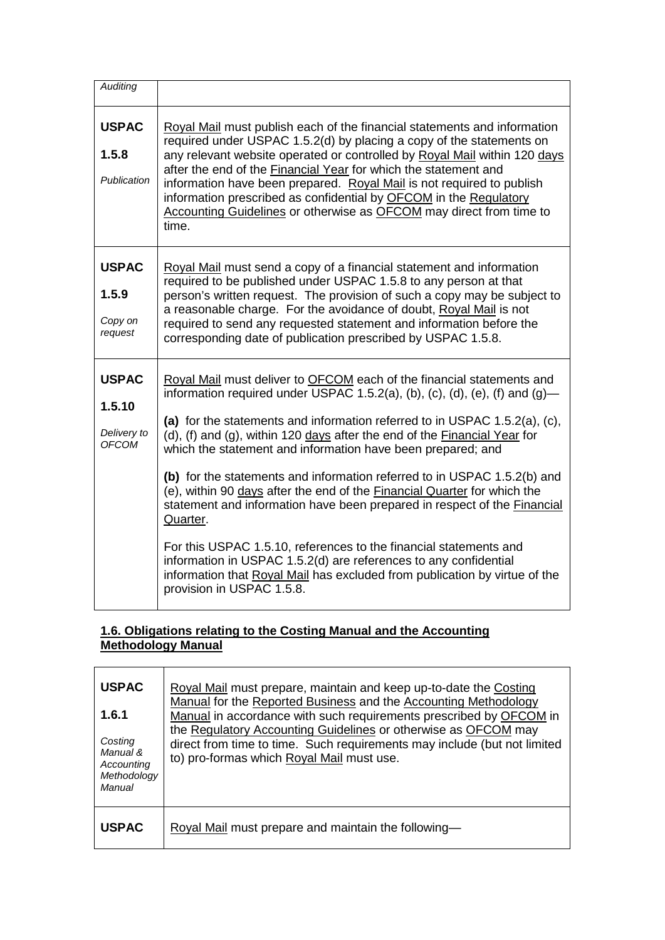| <b>Auditing</b>                                       |                                                                                                                                                                                                                                                                                                                                                                                                                                                                                                                                                                                                                                                                                                                                                                                                                                                                                       |
|-------------------------------------------------------|---------------------------------------------------------------------------------------------------------------------------------------------------------------------------------------------------------------------------------------------------------------------------------------------------------------------------------------------------------------------------------------------------------------------------------------------------------------------------------------------------------------------------------------------------------------------------------------------------------------------------------------------------------------------------------------------------------------------------------------------------------------------------------------------------------------------------------------------------------------------------------------|
| <b>USPAC</b><br>1.5.8<br>Publication                  | Royal Mail must publish each of the financial statements and information<br>required under USPAC 1.5.2(d) by placing a copy of the statements on<br>any relevant website operated or controlled by Royal Mail within 120 days<br>after the end of the Financial Year for which the statement and<br>information have been prepared. Royal Mail is not required to publish<br>information prescribed as confidential by OFCOM in the Regulatory<br>Accounting Guidelines or otherwise as OFCOM may direct from time to<br>time.                                                                                                                                                                                                                                                                                                                                                        |
| <b>USPAC</b><br>1.5.9<br>Copy on<br>request           | Royal Mail must send a copy of a financial statement and information<br>required to be published under USPAC 1.5.8 to any person at that<br>person's written request. The provision of such a copy may be subject to<br>a reasonable charge. For the avoidance of doubt, Royal Mail is not<br>required to send any requested statement and information before the<br>corresponding date of publication prescribed by USPAC 1.5.8.                                                                                                                                                                                                                                                                                                                                                                                                                                                     |
| <b>USPAC</b><br>1.5.10<br>Delivery to<br><b>OFCOM</b> | Royal Mail must deliver to OFCOM each of the financial statements and<br>information required under USPAC 1.5.2(a), (b), (c), (d), (e), (f) and $(g)$ —<br>(a) for the statements and information referred to in USPAC 1.5.2(a), (c),<br>(d), (f) and (g), within 120 days after the end of the Financial Year for<br>which the statement and information have been prepared; and<br>(b) for the statements and information referred to in USPAC 1.5.2(b) and<br>(e), within 90 days after the end of the Financial Quarter for which the<br>statement and information have been prepared in respect of the Financial<br>Quarter.<br>For this USPAC 1.5.10, references to the financial statements and<br>information in USPAC 1.5.2(d) are references to any confidential<br>information that Royal Mail has excluded from publication by virtue of the<br>provision in USPAC 1.5.8. |

## **1.6. Obligations relating to the Costing Manual and the Accounting Methodology Manual**

| <b>USPAC</b><br>1.6.1<br>Costing<br>Manual &<br>Accounting<br>Methodology<br>Manual | Royal Mail must prepare, maintain and keep up-to-date the Costing<br>Manual for the Reported Business and the Accounting Methodology<br>Manual in accordance with such requirements prescribed by OFCOM in<br>the Regulatory Accounting Guidelines or otherwise as OFCOM may<br>direct from time to time. Such requirements may include (but not limited<br>to) pro-formas which Royal Mail must use. |
|-------------------------------------------------------------------------------------|-------------------------------------------------------------------------------------------------------------------------------------------------------------------------------------------------------------------------------------------------------------------------------------------------------------------------------------------------------------------------------------------------------|
| <b>USPAC</b>                                                                        | Royal Mail must prepare and maintain the following-                                                                                                                                                                                                                                                                                                                                                   |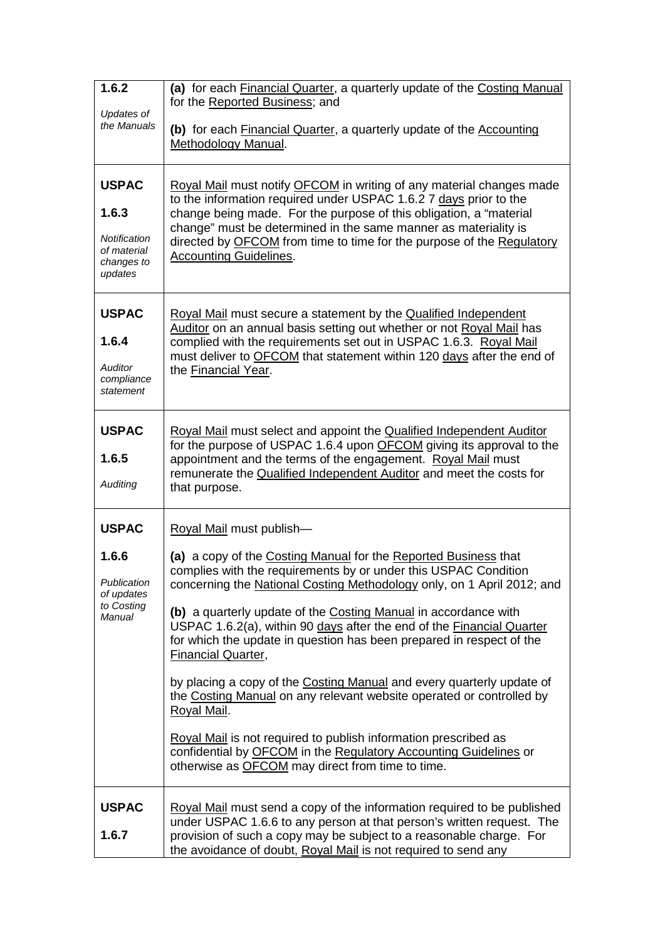| 1.6.2                                                                         | (a) for each Financial Quarter, a quarterly update of the Costing Manual<br>for the Reported Business; and                                                                                                                                                                                                                                                                                                                                                                                                                                                                                                                                                                                                                                                                                                                                           |  |  |
|-------------------------------------------------------------------------------|------------------------------------------------------------------------------------------------------------------------------------------------------------------------------------------------------------------------------------------------------------------------------------------------------------------------------------------------------------------------------------------------------------------------------------------------------------------------------------------------------------------------------------------------------------------------------------------------------------------------------------------------------------------------------------------------------------------------------------------------------------------------------------------------------------------------------------------------------|--|--|
| Updates of<br>the Manuals                                                     | (b) for each Financial Quarter, a quarterly update of the Accounting<br>Methodology Manual.                                                                                                                                                                                                                                                                                                                                                                                                                                                                                                                                                                                                                                                                                                                                                          |  |  |
| <b>USPAC</b><br>1.6.3<br>Notification<br>of material<br>changes to<br>updates | Royal Mail must notify OFCOM in writing of any material changes made<br>to the information required under USPAC 1.6.2 7 days prior to the<br>change being made. For the purpose of this obligation, a "material<br>change" must be determined in the same manner as materiality is<br>directed by OFCOM from time to time for the purpose of the Regulatory<br><b>Accounting Guidelines.</b>                                                                                                                                                                                                                                                                                                                                                                                                                                                         |  |  |
| <b>USPAC</b><br>1.6.4<br><b>Auditor</b><br>compliance<br>statement            | Royal Mail must secure a statement by the Qualified Independent<br>Auditor on an annual basis setting out whether or not Royal Mail has<br>complied with the requirements set out in USPAC 1.6.3. Royal Mail<br>must deliver to OFCOM that statement within 120 days after the end of<br>the Financial Year.                                                                                                                                                                                                                                                                                                                                                                                                                                                                                                                                         |  |  |
| <b>USPAC</b><br>1.6.5<br>Auditing                                             | Royal Mail must select and appoint the Qualified Independent Auditor<br>for the purpose of USPAC 1.6.4 upon OFCOM giving its approval to the<br>appointment and the terms of the engagement. Royal Mail must<br>remunerate the Qualified Independent Auditor and meet the costs for<br>that purpose.                                                                                                                                                                                                                                                                                                                                                                                                                                                                                                                                                 |  |  |
| <b>USPAC</b><br>1.6.6<br>Publication<br>of updates<br>to Costing<br>Manual    | Royal Mail must publish-<br>(a) a copy of the Costing Manual for the Reported Business that<br>complies with the requirements by or under this USPAC Condition<br>concerning the National Costing Methodology only, on 1 April 2012; and<br>(b) a quarterly update of the Costing Manual in accordance with<br>USPAC 1.6.2(a), within 90 days after the end of the Financial Quarter<br>for which the update in question has been prepared in respect of the<br><b>Financial Quarter,</b><br>by placing a copy of the Costing Manual and every quarterly update of<br>the Costing Manual on any relevant website operated or controlled by<br>Royal Mail.<br>Royal Mail is not required to publish information prescribed as<br>confidential by OFCOM in the Regulatory Accounting Guidelines or<br>otherwise as OFCOM may direct from time to time. |  |  |
| <b>USPAC</b><br>1.6.7                                                         | Royal Mail must send a copy of the information required to be published<br>under USPAC 1.6.6 to any person at that person's written request. The<br>provision of such a copy may be subject to a reasonable charge. For<br>the avoidance of doubt, Royal Mail is not required to send any                                                                                                                                                                                                                                                                                                                                                                                                                                                                                                                                                            |  |  |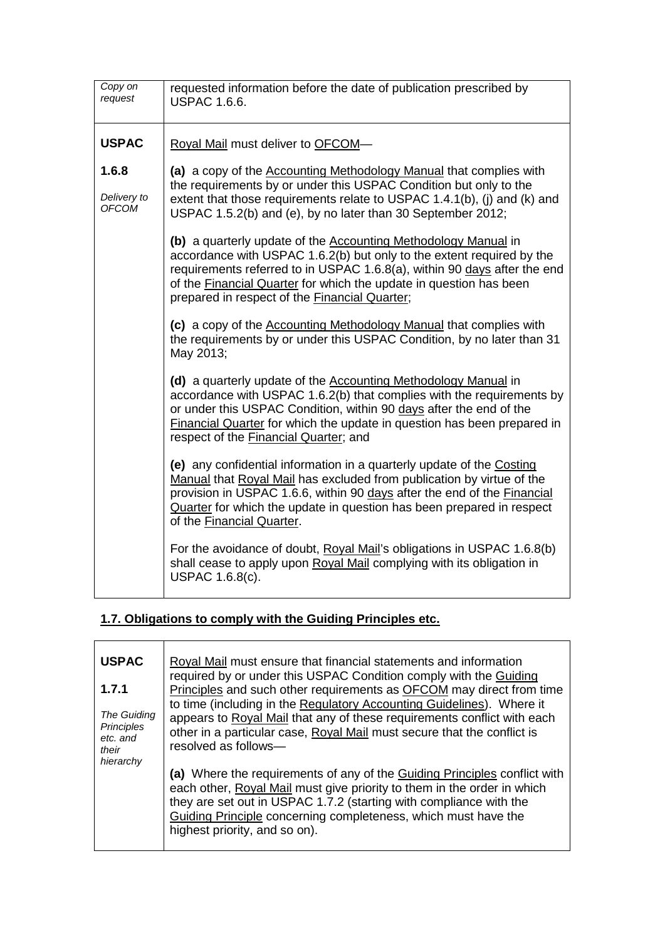| Copy on<br>request            | requested information before the date of publication prescribed by<br><b>USPAC 1.6.6.</b>                                                                                                                                                                                                                                                  |
|-------------------------------|--------------------------------------------------------------------------------------------------------------------------------------------------------------------------------------------------------------------------------------------------------------------------------------------------------------------------------------------|
| <b>USPAC</b>                  | Royal Mail must deliver to OFCOM-                                                                                                                                                                                                                                                                                                          |
| 1.6.8<br>Delivery to<br>OFCOM | (a) a copy of the Accounting Methodology Manual that complies with<br>the requirements by or under this USPAC Condition but only to the<br>extent that those requirements relate to USPAC 1.4.1(b), (i) and (k) and<br>USPAC 1.5.2(b) and (e), by no later than 30 September 2012;                                                         |
|                               | (b) a quarterly update of the Accounting Methodology Manual in<br>accordance with USPAC 1.6.2(b) but only to the extent required by the<br>requirements referred to in USPAC 1.6.8(a), within 90 days after the end<br>of the Financial Quarter for which the update in question has been<br>prepared in respect of the Financial Quarter; |
|                               | (c) a copy of the Accounting Methodology Manual that complies with<br>the requirements by or under this USPAC Condition, by no later than 31<br>May 2013;                                                                                                                                                                                  |
|                               | (d) a quarterly update of the Accounting Methodology Manual in<br>accordance with USPAC 1.6.2(b) that complies with the requirements by<br>or under this USPAC Condition, within 90 days after the end of the<br>Financial Quarter for which the update in question has been prepared in<br>respect of the Financial Quarter; and          |
|                               | (e) any confidential information in a quarterly update of the Costing<br>Manual that Royal Mail has excluded from publication by virtue of the<br>provision in USPAC 1.6.6, within 90 days after the end of the Financial<br>Quarter for which the update in question has been prepared in respect<br>of the Financial Quarter.            |
|                               | For the avoidance of doubt, Royal Mail's obligations in USPAC 1.6.8(b)<br>shall cease to apply upon Royal Mail complying with its obligation in<br><b>USPAC 1.6.8(c).</b>                                                                                                                                                                  |

## **1.7. Obligations to comply with the Guiding Principles etc.**

| <b>USPAC</b>                     | Royal Mail must ensure that financial statements and information          |  |  |  |
|----------------------------------|---------------------------------------------------------------------------|--|--|--|
|                                  | required by or under this USPAC Condition comply with the Guiding         |  |  |  |
| 1.7.1                            | Principles and such other requirements as OFCOM may direct from time      |  |  |  |
|                                  | to time (including in the Regulatory Accounting Guidelines). Where it     |  |  |  |
| The Guiding<br><b>Principles</b> | appears to Royal Mail that any of these requirements conflict with each   |  |  |  |
| etc. and                         | other in a particular case, Royal Mail must secure that the conflict is   |  |  |  |
| their                            | resolved as follows-                                                      |  |  |  |
| hierarchy                        |                                                                           |  |  |  |
|                                  | (a) Where the requirements of any of the Guiding Principles conflict with |  |  |  |
|                                  | each other, Royal Mail must give priority to them in the order in which   |  |  |  |
|                                  | they are set out in USPAC 1.7.2 (starting with compliance with the        |  |  |  |
|                                  | Guiding Principle concerning completeness, which must have the            |  |  |  |
|                                  | highest priority, and so on).                                             |  |  |  |
|                                  |                                                                           |  |  |  |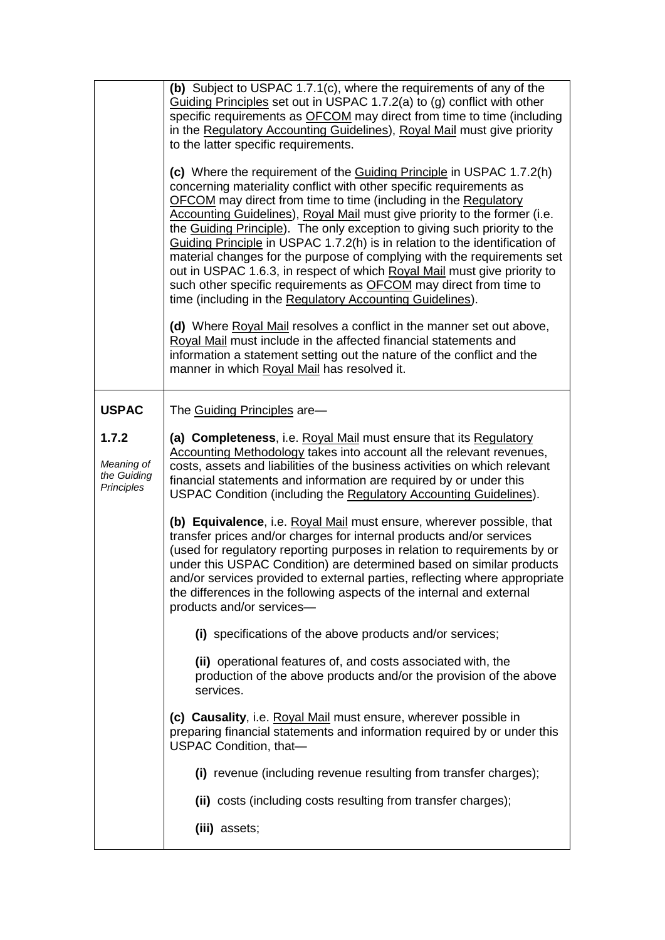|                                                  | (b) Subject to USPAC 1.7.1(c), where the requirements of any of the<br>Guiding Principles set out in USPAC 1.7.2(a) to (g) conflict with other<br>specific requirements as <b>OFCOM</b> may direct from time to time (including<br>in the Regulatory Accounting Guidelines), Royal Mail must give priority<br>to the latter specific requirements.                                                                                                                                                                                                                                                                                                                                                                                                      |
|--------------------------------------------------|---------------------------------------------------------------------------------------------------------------------------------------------------------------------------------------------------------------------------------------------------------------------------------------------------------------------------------------------------------------------------------------------------------------------------------------------------------------------------------------------------------------------------------------------------------------------------------------------------------------------------------------------------------------------------------------------------------------------------------------------------------|
|                                                  | (c) Where the requirement of the Guiding Principle in USPAC 1.7.2(h)<br>concerning materiality conflict with other specific requirements as<br>OFCOM may direct from time to time (including in the Regulatory<br>Accounting Guidelines), Royal Mail must give priority to the former (i.e.<br>the Guiding Principle). The only exception to giving such priority to the<br>Guiding Principle in USPAC 1.7.2(h) is in relation to the identification of<br>material changes for the purpose of complying with the requirements set<br>out in USPAC 1.6.3, in respect of which Royal Mail must give priority to<br>such other specific requirements as <b>OFCOM</b> may direct from time to<br>time (including in the Regulatory Accounting Guidelines). |
|                                                  | (d) Where Royal Mail resolves a conflict in the manner set out above,<br>Royal Mail must include in the affected financial statements and<br>information a statement setting out the nature of the conflict and the<br>manner in which Royal Mail has resolved it.                                                                                                                                                                                                                                                                                                                                                                                                                                                                                      |
| <b>USPAC</b>                                     | The Guiding Principles are-                                                                                                                                                                                                                                                                                                                                                                                                                                                                                                                                                                                                                                                                                                                             |
| 1.7.2<br>Meaning of<br>the Guiding<br>Principles | (a) Completeness, i.e. Royal Mail must ensure that its Regulatory<br>Accounting Methodology takes into account all the relevant revenues,<br>costs, assets and liabilities of the business activities on which relevant<br>financial statements and information are required by or under this<br>USPAC Condition (including the Regulatory Accounting Guidelines).                                                                                                                                                                                                                                                                                                                                                                                      |
|                                                  | (b) Equivalence, i.e. Royal Mail must ensure, wherever possible, that<br>transfer prices and/or charges for internal products and/or services<br>(used for regulatory reporting purposes in relation to requirements by or<br>under this USPAC Condition) are determined based on similar products<br>and/or services provided to external parties, reflecting where appropriate<br>the differences in the following aspects of the internal and external<br>products and/or services-                                                                                                                                                                                                                                                                  |
|                                                  | (i) specifications of the above products and/or services;                                                                                                                                                                                                                                                                                                                                                                                                                                                                                                                                                                                                                                                                                               |
|                                                  | (ii) operational features of, and costs associated with, the<br>production of the above products and/or the provision of the above<br>services.                                                                                                                                                                                                                                                                                                                                                                                                                                                                                                                                                                                                         |
|                                                  | (c) Causality, i.e. Royal Mail must ensure, wherever possible in<br>preparing financial statements and information required by or under this<br>USPAC Condition, that-                                                                                                                                                                                                                                                                                                                                                                                                                                                                                                                                                                                  |
|                                                  | (i) revenue (including revenue resulting from transfer charges);                                                                                                                                                                                                                                                                                                                                                                                                                                                                                                                                                                                                                                                                                        |
|                                                  | (ii) costs (including costs resulting from transfer charges);                                                                                                                                                                                                                                                                                                                                                                                                                                                                                                                                                                                                                                                                                           |
|                                                  | (iii) assets;                                                                                                                                                                                                                                                                                                                                                                                                                                                                                                                                                                                                                                                                                                                                           |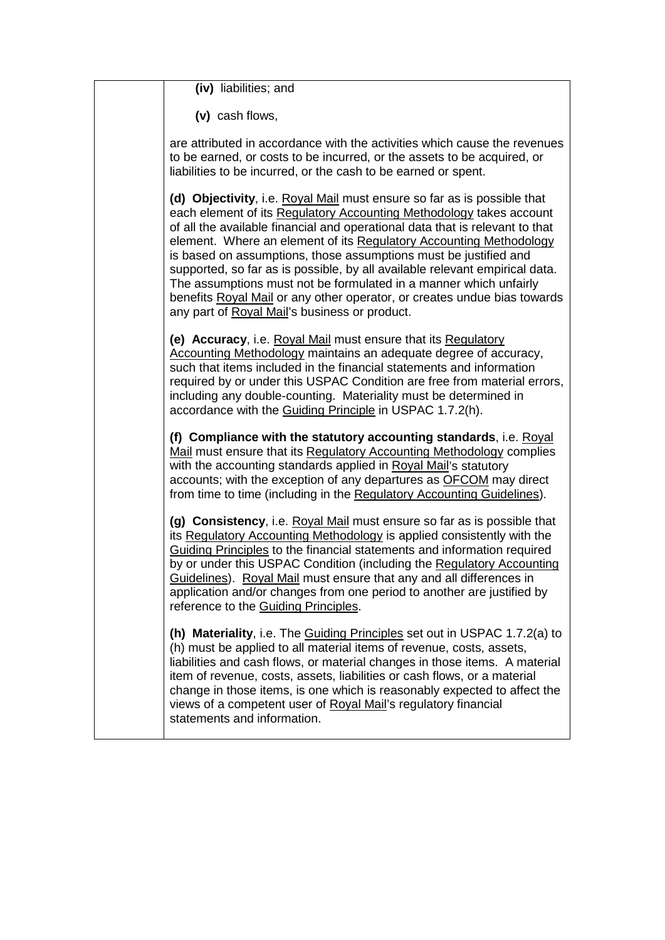| (iv) liabilities; and                                                                                                                                                                                                                                                                                                                                                                                                                                                                                                                                                                                                                                     |
|-----------------------------------------------------------------------------------------------------------------------------------------------------------------------------------------------------------------------------------------------------------------------------------------------------------------------------------------------------------------------------------------------------------------------------------------------------------------------------------------------------------------------------------------------------------------------------------------------------------------------------------------------------------|
| (v) cash flows,                                                                                                                                                                                                                                                                                                                                                                                                                                                                                                                                                                                                                                           |
| are attributed in accordance with the activities which cause the revenues<br>to be earned, or costs to be incurred, or the assets to be acquired, or<br>liabilities to be incurred, or the cash to be earned or spent.                                                                                                                                                                                                                                                                                                                                                                                                                                    |
| (d) Objectivity, i.e. Royal Mail must ensure so far as is possible that<br>each element of its Regulatory Accounting Methodology takes account<br>of all the available financial and operational data that is relevant to that<br>element. Where an element of its Regulatory Accounting Methodology<br>is based on assumptions, those assumptions must be justified and<br>supported, so far as is possible, by all available relevant empirical data.<br>The assumptions must not be formulated in a manner which unfairly<br>benefits Royal Mail or any other operator, or creates undue bias towards<br>any part of Royal Mail's business or product. |
| (e) Accuracy, i.e. Royal Mail must ensure that its Regulatory<br>Accounting Methodology maintains an adequate degree of accuracy,<br>such that items included in the financial statements and information<br>required by or under this USPAC Condition are free from material errors,<br>including any double-counting. Materiality must be determined in<br>accordance with the Guiding Principle in USPAC 1.7.2(h).                                                                                                                                                                                                                                     |
| (f) Compliance with the statutory accounting standards, i.e. Royal<br>Mail must ensure that its Regulatory Accounting Methodology complies<br>with the accounting standards applied in Royal Mail's statutory<br>accounts; with the exception of any departures as OFCOM may direct<br>from time to time (including in the Regulatory Accounting Guidelines).                                                                                                                                                                                                                                                                                             |
| (g) Consistency, i.e. Royal Mail must ensure so far as is possible that<br>its Regulatory Accounting Methodology is applied consistently with the<br>Guiding Principles to the financial statements and information required<br>by or under this USPAC Condition (including the Regulatory Accounting<br>Guidelines). Royal Mail must ensure that any and all differences in<br>application and/or changes from one period to another are justified by<br>reference to the Guiding Principles.                                                                                                                                                            |
| (h) Materiality, i.e. The Guiding Principles set out in USPAC 1.7.2(a) to<br>(h) must be applied to all material items of revenue, costs, assets,<br>liabilities and cash flows, or material changes in those items. A material<br>item of revenue, costs, assets, liabilities or cash flows, or a material<br>change in those items, is one which is reasonably expected to affect the<br>views of a competent user of Royal Mail's regulatory financial<br>statements and information.                                                                                                                                                                  |